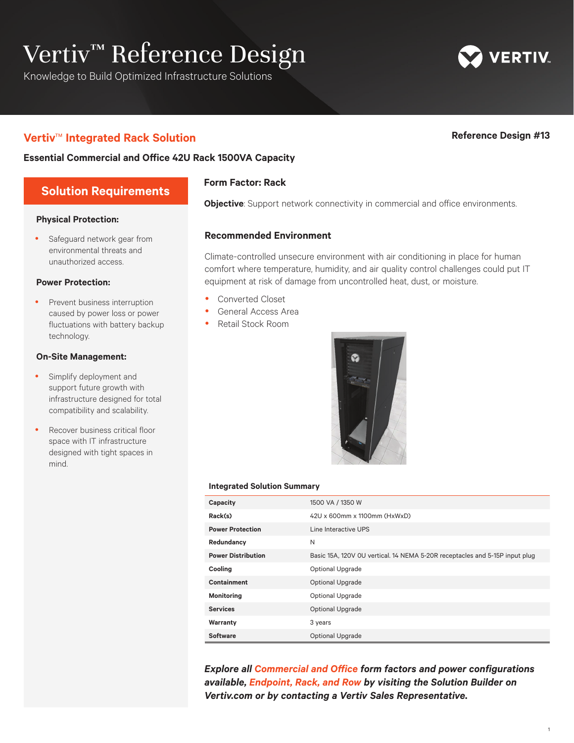# Vertiv™ Reference Design

Knowledge to Build Optimized Infrastructure Solutions

# **Vertiv**™ **Integrated Rack Solution Reference Design #13**

**ERTIV** 

### **Essential Commercial and Office 42U Rack 1500VA Capacity**

# **Solution Requirements**

#### **Physical Protection:**

**•** Safeguard network gear from environmental threats and unauthorized access.

#### **Power Protection:**

• Prevent business interruption caused by power loss or power fluctuations with battery backup technology.

#### **On-Site Management:**

- Simplify deployment and support future growth with infrastructure designed for total compatibility and scalability.
- Recover business critical floor space with IT infrastructure designed with tight spaces in mind.

### **Form Factor: Rack**

**Objective**: Support network connectivity in commercial and office environments.

#### **Recommended Environment**

Climate-controlled unsecure environment with air conditioning in place for human comfort where temperature, humidity, and air quality control challenges could put IT equipment at risk of damage from uncontrolled heat, dust, or moisture.

- Converted Closet
- General Access Area
- Retail Stock Room



#### **Integrated Solution Summary**

| Capacity                  | 1500 VA / 1350 W                                                            |  |
|---------------------------|-----------------------------------------------------------------------------|--|
| Rack(s)                   | 42U x 600mm x 1100mm (HxWxD)                                                |  |
| <b>Power Protection</b>   | Line Interactive UPS                                                        |  |
| Redundancy                | N                                                                           |  |
| <b>Power Distribution</b> | Basic 15A, 120V OU vertical. 14 NEMA 5-20R receptacles and 5-15P input plug |  |
| Cooling                   | <b>Optional Upgrade</b>                                                     |  |
| <b>Containment</b>        | <b>Optional Upgrade</b>                                                     |  |
| <b>Monitoring</b>         | <b>Optional Upgrade</b>                                                     |  |
| <b>Services</b>           | <b>Optional Upgrade</b>                                                     |  |
| Warranty                  | 3 years                                                                     |  |
| <b>Software</b>           | <b>Optional Upgrade</b>                                                     |  |

**Explore all Commercial and Office form factors and power configurations** *available, Endpoint, Rack, and Row by visiting the Solution Builder on Vertiv.com or by contacting a Vertiv Sales Representative.*